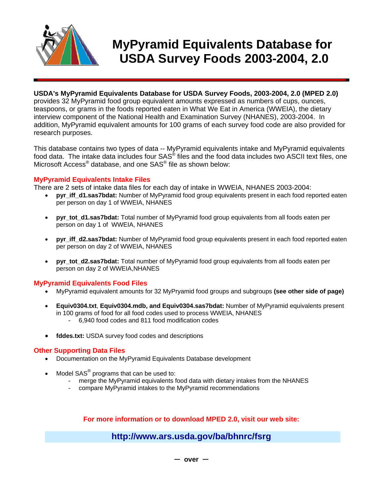

# **MyPyramid Equivalents Database for USDA Survey Foods 2003-2004, 2.0**

#### **USDA's MyPyramid Equivalents Database for USDA Survey Foods, 2003-2004, 2.0 (MPED 2.0)**

provides 32 MyPyramid food group equivalent amounts expressed as numbers of cups, ounces, teaspoons, or grams in the foods reported eaten in What We Eat in America (WWEIA), the dietary interview component of the National Health and Examination Survey (NHANES), 2003-2004. In addition, MyPyramid equivalent amounts for 100 grams of each survey food code are also provided for research purposes.

This database contains two types of data -- MyPyramid equivalents intake and MyPyramid equivalents food data. The intake data includes four SAS® files and the food data includes two ASCII text files, one Microsoft Access<sup>®</sup> database, and one SAS<sup>®</sup> file as shown below:

#### **MyPyramid Equivalents Intake Files**

There are 2 sets of intake data files for each day of intake in WWEIA, NHANES 2003-2004:

- **pyr\_iff\_d1.sas7bdat:** Number of MyPyramid food group equivalents present in each food reported eaten per person on day 1 of WWEIA, NHANES
- **pyr** tot d1.sas7bdat: Total number of MyPyramid food group equivalents from all foods eaten per person on day 1 of WWEIA, NHANES
- **pyr** iff d2.sas7bdat: Number of MyPyramid food group equivalents present in each food reported eaten per person on day 2 of WWEIA, NHANES
- **pyr\_tot\_d2.sas7bdat:** Total number of MyPyramid food group equivalents from all foods eaten per person on day 2 of WWEIA,NHANES

#### **MyPyramid Equivalents Food Files**

- MyPyramid equivalent amounts for 32 MyPryamid food groups and subgroups **(see other side of page)**
- **Equiv0304.txt**, **Equiv0304.mdb, and Equiv0304.sas7bdat:** Number of MyPyramid equivalents present in 100 grams of food for all food codes used to process WWEIA, NHANES - 6,940 food codes and 811 food modification codes
- fddes.txt: USDA survey food codes and descriptions

#### **Other Supporting Data Files**

- Documentation on the MyPyramid Equivalents Database development
- Model SAS<sup>®</sup> programs that can be used to:
	- merge the MyPyramid equivalents food data with dietary intakes from the NHANES
	- compare MyPyramid intakes to the MyPyramid recommendations

#### **For more information or to download MPED 2.0, visit our web site:**

### **http://www.ars.usda.gov/ba/bhnrc/fsrg**

**over**